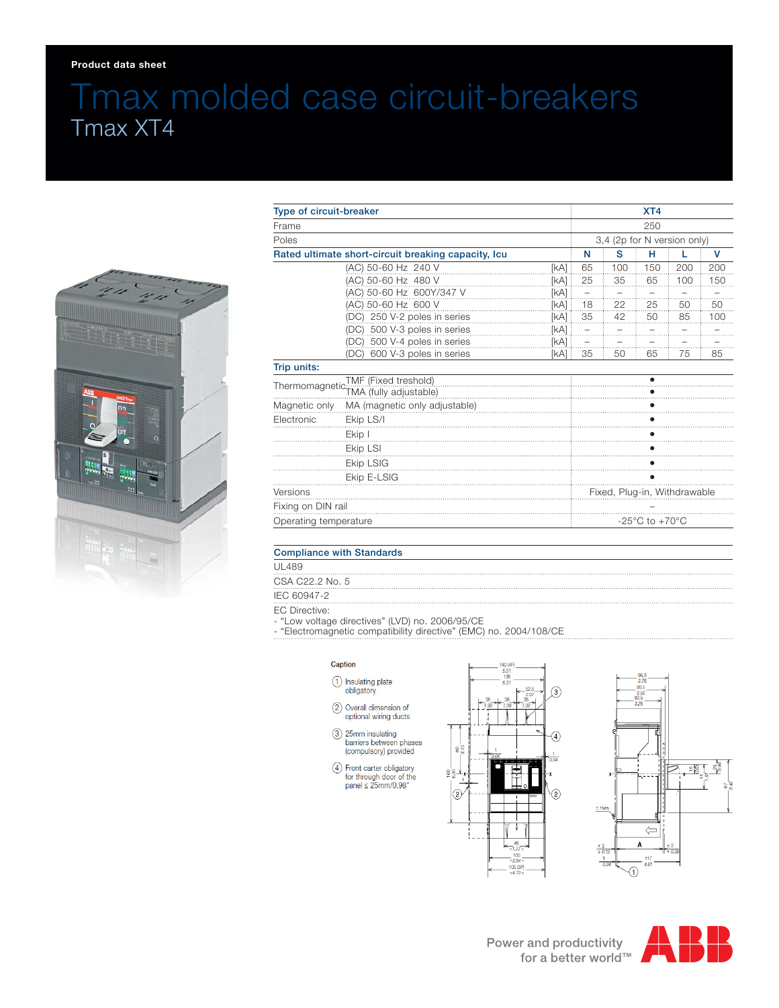### **Product data sheet**

# Tmax molded case circuit-breakers Tmax XT4



| Type of circuit-breaker                                               |                                 |             | XT4<br>250<br>3,4 (2p for N version only)            |                     |      |     |     |
|-----------------------------------------------------------------------|---------------------------------|-------------|------------------------------------------------------|---------------------|------|-----|-----|
| Frame<br>Poles<br>Rated ultimate short-circuit breaking capacity, Icu |                                 |             |                                                      |                     |      |     |     |
|                                                                       |                                 |             |                                                      |                     |      |     |     |
|                                                                       |                                 |             |                                                      | (AC) 50-60 Hz 240 V | [kA] | 65  | 100 |
|                                                                       | (AC) 50-60 Hz 480 V             | <b>IkAl</b> | 25                                                   | 35                  | 65   | 100 | 150 |
|                                                                       | (AC) 50-60 Hz 600Y/347 V        | [kA]        | $\overline{\phantom{0}}$                             |                     |      |     |     |
|                                                                       | (AC) 50-60 Hz 600 V             | [kA]        | 18                                                   | 22                  | 25   | 50  | 50  |
|                                                                       | (DC) 250 V-2 poles in series    | [kA]        | 35                                                   | 42                  | 50   | 85  | 100 |
|                                                                       | (DC) 500 V-3 poles in series    | [kA]        |                                                      |                     |      |     |     |
|                                                                       | 500 V-4 poles in series<br>(DC) | [kA]        | $\qquad \qquad -$                                    |                     |      |     | .   |
|                                                                       | 600 V-3 poles in series<br>(DC) | [kA]        | 35                                                   | 50                  | 65   | 75  | 85  |
| Trip units:                                                           |                                 |             |                                                      |                     |      |     |     |
| TMF (Fixed treshold)                                                  |                                 |             |                                                      |                     |      |     |     |
|                                                                       |                                 |             |                                                      |                     |      |     |     |
| Magnetic only                                                         | MA (magnetic only adjustable)   |             |                                                      |                     |      |     |     |
| Electronic                                                            | Ekip LS/I                       |             |                                                      |                     |      |     |     |
|                                                                       | Ekip I                          |             |                                                      |                     |      |     |     |
|                                                                       | Ekip LSI                        |             |                                                      |                     |      |     |     |
|                                                                       | Ekip LSIG                       |             |                                                      |                     |      |     |     |
|                                                                       | Ekip E-LSIG                     |             |                                                      |                     |      |     |     |
| Versions                                                              |                                 |             | Fixed, Plug-in, Withdrawable                         |                     |      |     |     |
| Fixing on DIN rail                                                    |                                 |             |                                                      |                     |      |     |     |
| Operating temperature                                                 |                                 |             | -25 $\mathrm{^{\circ}C}$ to +70 $\mathrm{^{\circ}C}$ |                     |      |     |     |

## Compliance with Standards

UL489

CSA C22.2 No. 5

IEC 60947-2

EC Directive:

- "Low voltage directives" (LVD) no. 2006/95/CE

- "Electromagnetic compatibility directive" (EMC) no. 2004/108/CE

#### Caption

- 1 Insulating plate<br>obligatory
- 2 Overall dimension of
- optional wiring ducts
- 3) 25mm insulating<br>barriers between phases<br>(compulsory) provided
- $\begin{tabular}{ll} $\mathbb{Q}$ & Front Carter obligatory for through door of the panel $\leq$ 25mm/0,98" \end{tabular}$